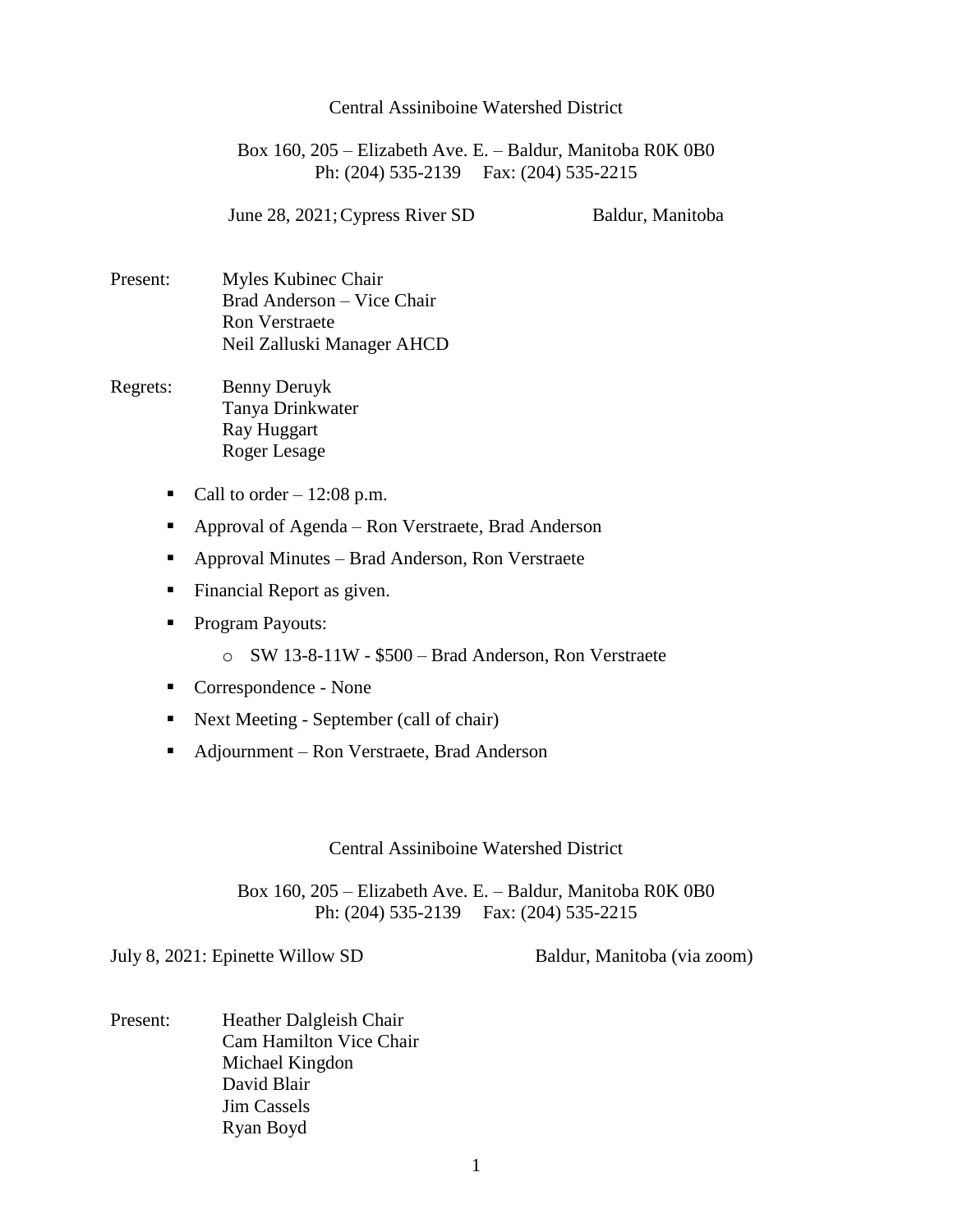## Central Assiniboine Watershed District

Box 160, 205 – Elizabeth Ave. E. – Baldur, Manitoba R0K 0B0 Ph: (204) 535-2139 Fax: (204) 535-2215

June 28, 2021; Cypress River SD Baldur, Manitoba

Present: Myles Kubinec Chair Brad Anderson – Vice Chair Ron Verstraete Neil Zalluski Manager AHCD

- Regrets: Benny Deruyk Tanya Drinkwater Ray Huggart Roger Lesage
	- Call to order  $-12:08$  p.m.
	- Approval of Agenda Ron Verstraete, Brad Anderson
	- Approval Minutes Brad Anderson, Ron Verstraete
	- **Financial Report as given.**
	- Program Payouts:
		- o SW 13-8-11W \$500 Brad Anderson, Ron Verstraete
	- Correspondence None
	- Next Meeting September (call of chair)
	- Adjournment Ron Verstraete, Brad Anderson

Central Assiniboine Watershed District

Box 160, 205 – Elizabeth Ave. E. – Baldur, Manitoba R0K 0B0 Ph: (204) 535-2139 Fax: (204) 535-2215

July 8, 2021: Epinette Willow SD Baldur, Manitoba (via zoom)

Present: Heather Dalgleish Chair Cam Hamilton Vice Chair Michael Kingdon David Blair Jim Cassels Ryan Boyd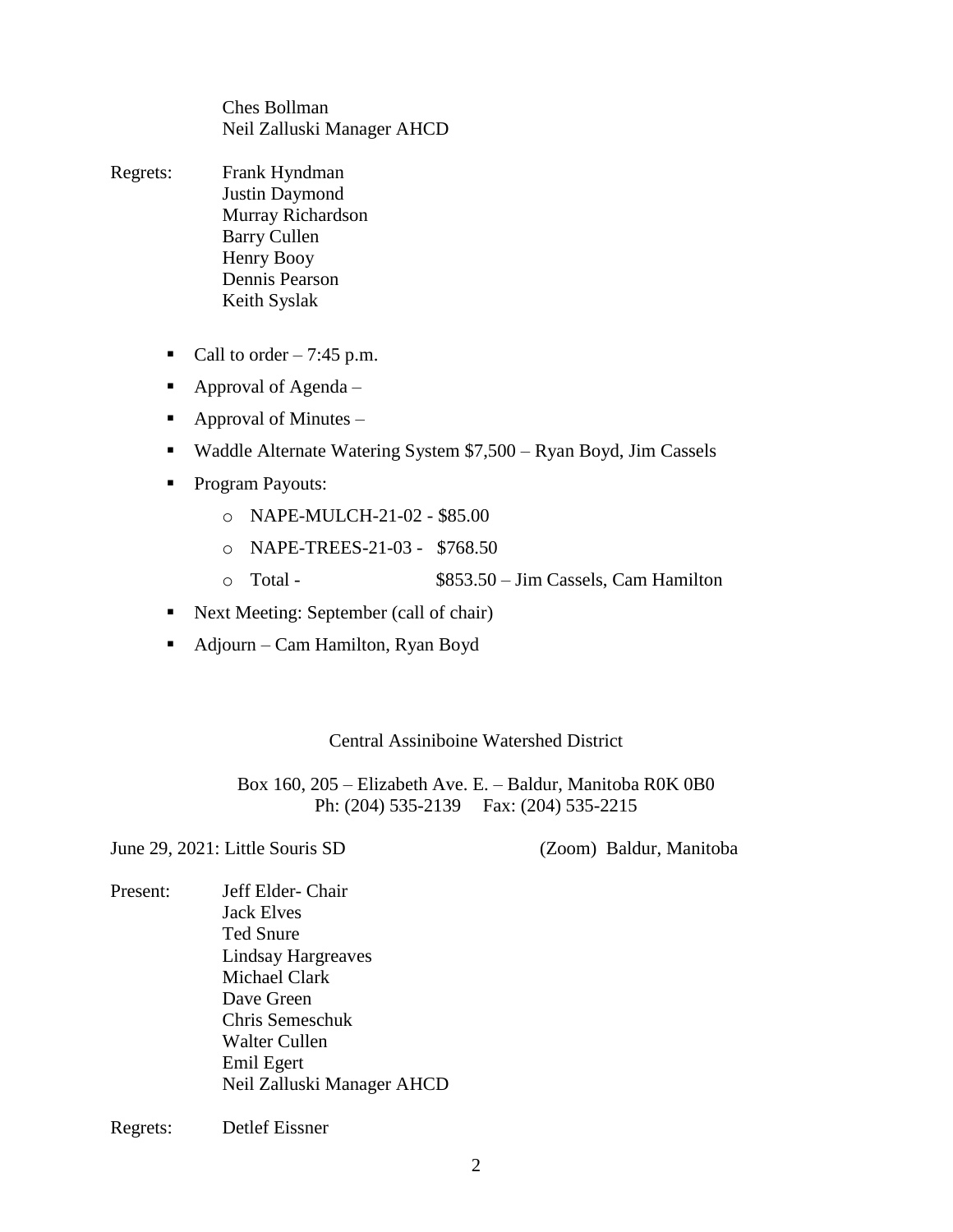Ches Bollman Neil Zalluski Manager AHCD

- Regrets: Frank Hyndman Justin Daymond Murray Richardson Barry Cullen Henry Booy Dennis Pearson Keith Syslak
	- Call to order  $-7:45$  p.m.
	- Approval of Agenda –
	- Approval of Minutes  $-$
	- Waddle Alternate Watering System \$7,500 Ryan Boyd, Jim Cassels
	- **Program Payouts:** 
		- o NAPE-MULCH-21-02 \$85.00
		- o NAPE-TREES-21-03 \$768.50
		- o Total \$853.50 Jim Cassels, Cam Hamilton
	- Next Meeting: September (call of chair)
	- Adjourn Cam Hamilton, Ryan Boyd

Central Assiniboine Watershed District

Box 160, 205 – Elizabeth Ave. E. – Baldur, Manitoba R0K 0B0 Ph: (204) 535-2139 Fax: (204) 535-2215

June 29, 2021: Little Souris SD (Zoom) Baldur, Manitoba

Present: Jeff Elder- Chair Jack Elves Ted Snure Lindsay Hargreaves Michael Clark Dave Green Chris Semeschuk Walter Cullen Emil Egert Neil Zalluski Manager AHCD

Regrets: Detlef Eissner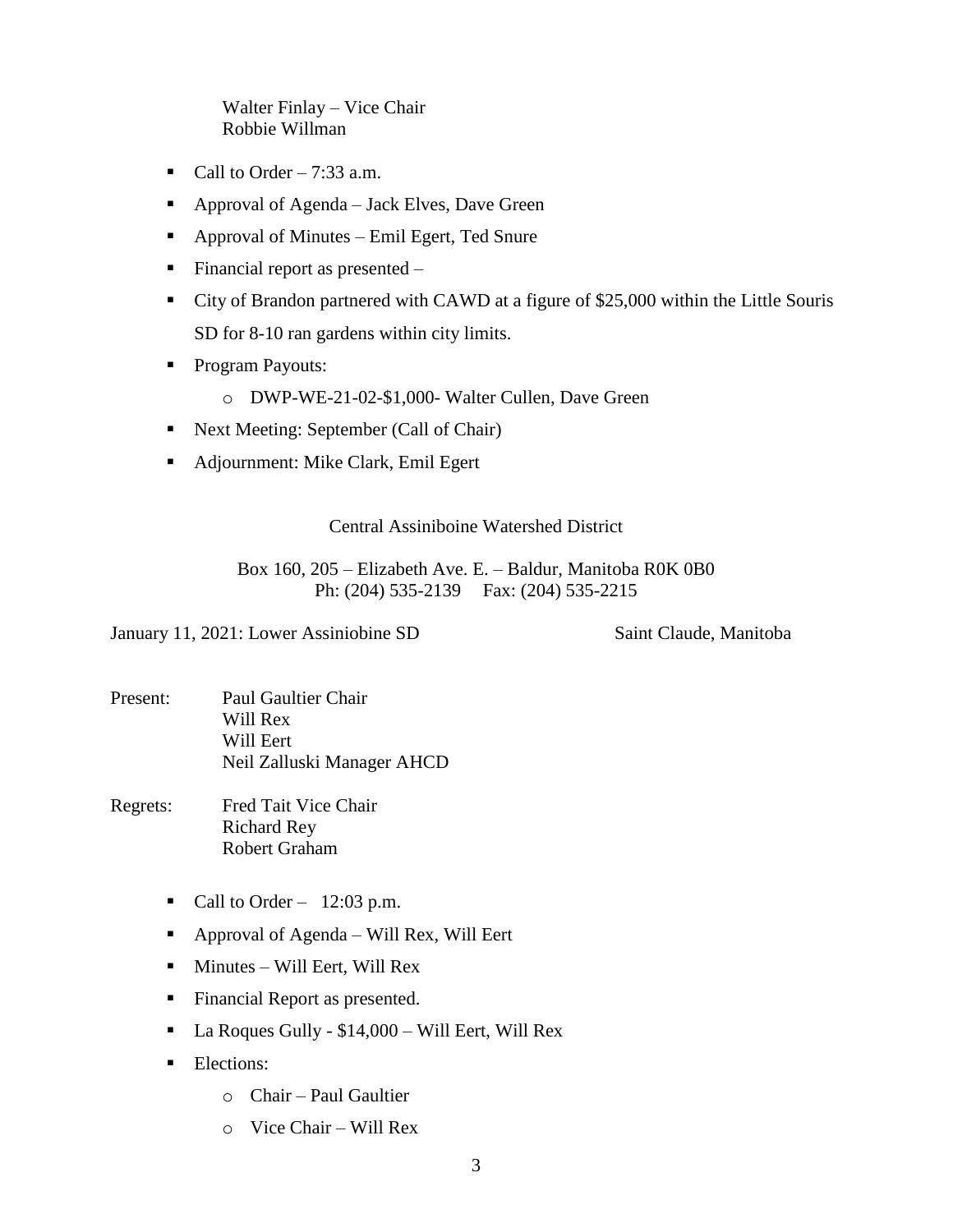Walter Finlay – Vice Chair Robbie Willman

- Call to Order  $-7:33$  a.m.
- Approval of Agenda Jack Elves, Dave Green
- Approval of Minutes Emil Egert, Ted Snure
- Financial report as presented  $-$
- City of Brandon partnered with CAWD at a figure of \$25,000 within the Little Souris SD for 8-10 ran gardens within city limits.
- Program Payouts:
	- o DWP-WE-21-02-\$1,000- Walter Cullen, Dave Green
- Next Meeting: September (Call of Chair)
- Adjournment: Mike Clark, Emil Egert

## Central Assiniboine Watershed District

Box 160, 205 – Elizabeth Ave. E. – Baldur, Manitoba R0K 0B0 Ph: (204) 535-2139 Fax: (204) 535-2215

January 11, 2021: Lower Assiniobine SD Saint Claude, Manitoba

Present: Paul Gaultier Chair Will Rex Will Eert Neil Zalluski Manager AHCD

Regrets: Fred Tait Vice Chair Richard Rey Robert Graham

- Call to Order  $12:03$  p.m.
- Approval of Agenda Will Rex, Will Eert
- $\blacksquare$  Minutes Will Eert, Will Rex
- Financial Report as presented.
- La Roques Gully \$14,000 Will Eert, Will Rex
- **Elections:** 
	- o Chair Paul Gaultier
	- o Vice Chair Will Rex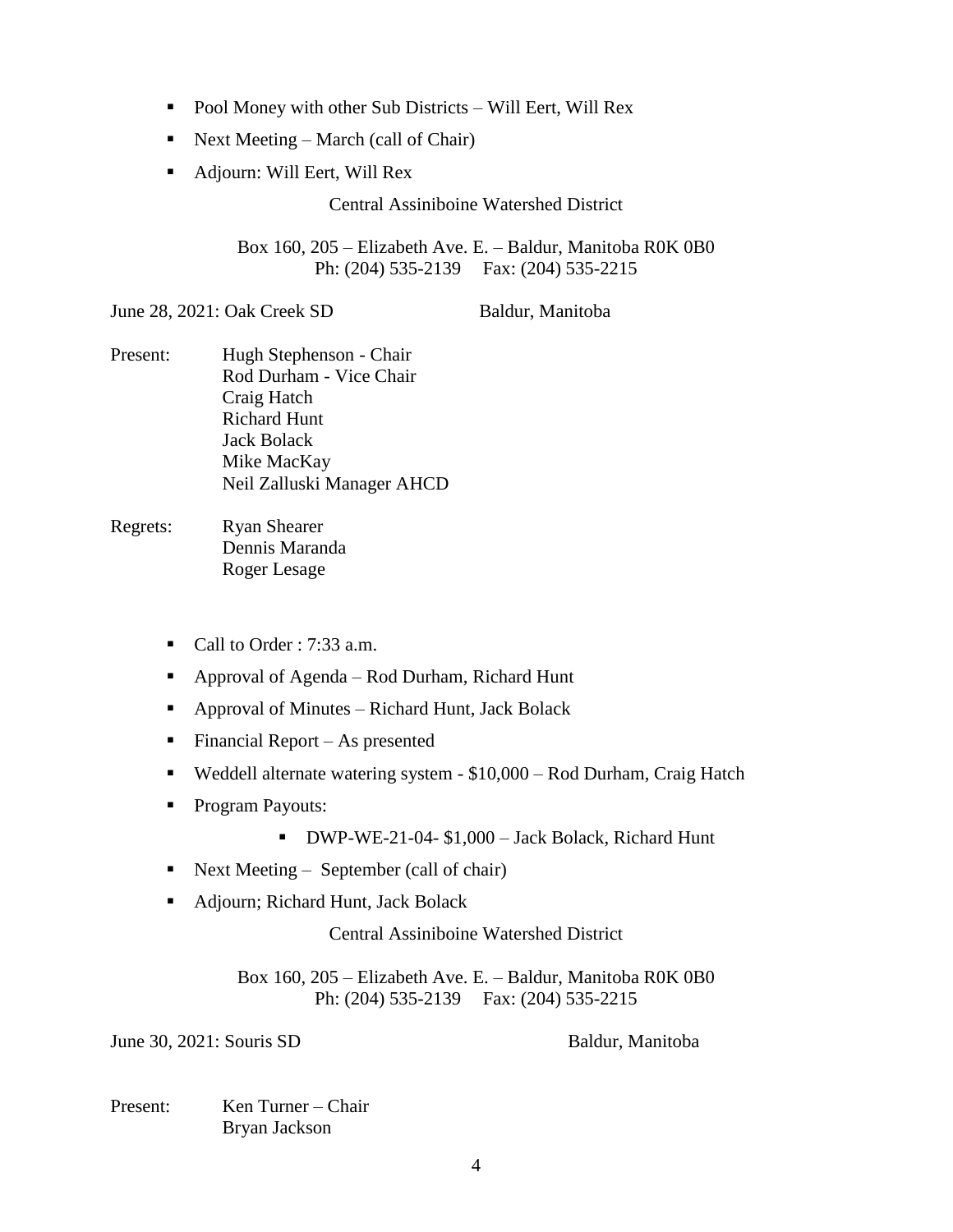- Pool Money with other Sub Districts Will Eert, Will Rex
- Next Meeting March (call of Chair)
- Adjourn: Will Eert, Will Rex

Central Assiniboine Watershed District

Box 160, 205 – Elizabeth Ave. E. – Baldur, Manitoba R0K 0B0 Ph: (204) 535-2139 Fax: (204) 535-2215

June 28, 2021: Oak Creek SD Baldur, Manitoba

Present: Hugh Stephenson - Chair Rod Durham - Vice Chair Craig Hatch Richard Hunt Jack Bolack Mike MacKay Neil Zalluski Manager AHCD

Regrets: Ryan Shearer Dennis Maranda Roger Lesage

- Call to Order :  $7:33$  a.m.
- Approval of Agenda Rod Durham, Richard Hunt
- Approval of Minutes Richard Hunt, Jack Bolack
- Financial Report As presented
- Weddell alternate watering system \$10,000 Rod Durham, Craig Hatch
- Program Payouts:
	- DWP-WE-21-04- \$1,000 Jack Bolack, Richard Hunt
- Next Meeting September (call of chair)
- Adjourn; Richard Hunt, Jack Bolack

Central Assiniboine Watershed District

Box 160, 205 – Elizabeth Ave. E. – Baldur, Manitoba R0K 0B0 Ph: (204) 535-2139 Fax: (204) 535-2215

June 30, 2021: Souris SD Baldur, Manitoba

Present: Ken Turner – Chair Bryan Jackson